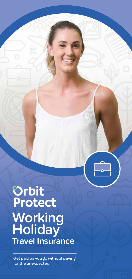# Orbit<br>Protect **Working Holiday Travel Insurance**

Get paid as you go without paying for the unexpected.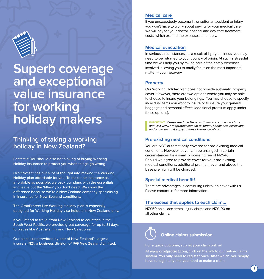

# **Superb coverage and exceptional value insurance for working holiday makers**

# **Thinking of taking a working holiday in New Zealand?**

Fantastic! You should also be thinking of buying Working Holiday Insurance to protect you when things go wrong.

OrbitProtect has put a lot of thought into making the Working Holiday plan affordable for you. To make the insurance as affordable as possible, we pack our plans with the essentials and leave out the 'fillers' you don't need. We know the difference because we're a New Zealand company specialising in insurance for New Zealand conditions.

The OrbitProtect Lite Working Holiday plan is especially designed for Working Holiday visa holders in New Zealand only.

If you intend to travel from New Zealand to countries in the South West Pacific, we provide great coverage for up to 31 days to places like Australia, Fiji and New Caledonia.

Our plan is underwritten by one of New Zealand's largest insurers, **NZI, a business division of IAG New Zealand Limited.** 

#### **Medical care**

If you unexpectedly become ill, or suffer an accident or injury, you won't have to worry about paying for your medical care. We will pay for your doctor, hospital and day care treatment costs, which exceed the excesses that apply.

### **Medical evacuation**

In serious circumstances, as a result of injury or illness, you may need to be returned to your country of origin. At such a stressful time we will help you by taking care of the costly expenses involved, allowing you to totally focus on the most important matter – your recovery.

#### **Property**

Our Working Holiday plan does not provide automatic property cover. However, there are two options where you may be able to choose to insure your belongings. You may choose to specify individual items you want to insure or to insure your general baggage and personal effects (additional premium apply under these options).

**IMPORTANT** Please read the Benefits Summary on this brochure and visit www.orbitprotect.com for all terms, conditions, exclusions and excesses that apply to these insurance plans.

#### **Pre-existing medical conditions**

You are NOT automatically covered for pre-existing medical conditions. However, cover can be arranged in certain circumstances for a small processing fee of NZ\$40. Should we agree to provide cover for your pre-existing medical conditions, additional premium over and above the base premium will be charged.

#### **Special medical benefit!**

There are advantages in continuing unbroken cover with us. Please contact us for more information.

#### **The excess that applies to each claim...**

NZ\$50 on all accidental injury claims and NZ\$100 on all other claims.

# **Online claims submission**

**For a quick outcome, submit your claim online!** 

**At www.orbitprotect.com, click on the link to our online claims system. You only need to register once. After which, you simply have to log in anytime you need to make a claim.**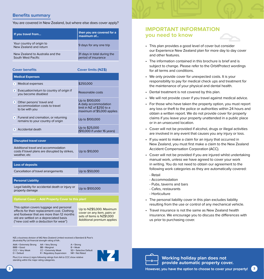### **Benefits summary**

You are covered in New Zealand, but where else does cover apply?

| If you travel from                                     | then you are covered for a<br>maximum of           |
|--------------------------------------------------------|----------------------------------------------------|
| Your country of origin to<br>New Zealand and return    | 9 days for any one trip                            |
| New Zealand to Australia and the<br>South West Pacific | 31 days in total during the<br>period of insurance |

**Cover benefits Cover limits (NZ\$)**

| <b>Medical Expenses</b>                                                                                |                                                                                                     |  |
|--------------------------------------------------------------------------------------------------------|-----------------------------------------------------------------------------------------------------|--|
| <b>Medical expenses</b><br>Ð                                                                           | \$250,000                                                                                           |  |
| Evacuation/return to country of origin if<br>$\mathbf{2}$<br>you become disabled                       | Reasonable costs                                                                                    |  |
| Other persons' travel and<br>3<br>accommodation costs to travel<br>to be with you                      | Up to \$100,000<br>A daily accommodation<br>limit in NZ of \$250 to a<br>maximum of \$5,000 applies |  |
| 4 Funeral and cremation, or returning<br>remains to your country of origin                             | Up to \$100,000                                                                                     |  |
| Accidental death<br>5                                                                                  | Up to \$25,000<br>(\$10,000 if under 16 years)                                                      |  |
| <b>Disrupted travel cover</b>                                                                          |                                                                                                     |  |
| Additional travel and accommodation<br>costs if travel plans are disrupted by strikes,<br>weather, etc | Up to \$10,000                                                                                      |  |

#### **Loss of deposits**

Cancellation of travel arrangements Up to \$50,000

**Personal Liability**

Legal liability for accidental death or injury or Legal liability for accidental death of figury or Up to \$100,000 property damage

#### **Optional Cover – Add Property Cover to this plan!**

This option covers luggage and personal effects for their replacement cost. Clothing and footwear that are more than 12 months old are settled on a depreciated basis ("new cost with a deduction for wear")

Up to NZ\$5,000. Maximum cover on any item, pairs or sets of items is NZ\$1,000 Additional premium applies

NZI, a business division of IAG New Zealand Limited received a Standard & Poor's (Australia) Pty Ltd financial strength rating of AA-.

AAA = Extremely Strong AA = Very Strong A = Strong<br>BBB = Good BB = Marginal B = Weak example BB = Marginal BB = Weak<br>CCC = Very Weak CC = Extremely Weak SD = Selective Default CCC = Very Weak CC = Extremely Weak<br>D = Default R = Regulatory Superv

 $R$  = Regulatory Supervision NR = Not Rated

Plus (+) or minus (-) signs following ratings from AA to CCC show relative standing within the major rating categories.



# **IMPORTANT INFORMATION you need to know**

- This plan provides a good level of cover but consider our Experience New Zealand plan for more day to day cover and other features.
- The information contained in this brochure is brief and is subject to change. Please refer to the OrbitProtect wordings for all terms and conditions.
- We only provide cover for unexpected costs. It is your responsibility to pay for medical check ups and treatment for the maintenance of your physical and dental health.
- Dental treatment is not covered by this plan.
- We will not provide cover if you travel against medical advice.
- For those who have taken the property option, you must report any loss or theft to the police or authorities within 24 hours and obtain a written report. We do not provide cover for property claims if you leave your property unattended in a public place or in an unsecured location.
- Cover will not be provided if alcohol, drugs or illegal activities are involved in any event that causes you any injury or loss.
- If you want to make a claim for an injury that occurred in New Zealand, you must first make a claim to the New Zealand Accident Compensation Corporation (ACC).
- Cover will not be provided if you are injured whilst undertaking manual work, unless we have agreed to cover your work in writing. You do not need to obtain our agreement to the following work categories as they are automatically covered:
	- Retail
	- Accommodation
	- Pubs, taverns and bars
	- Cafes, restaurants
	- Horticulture
- The personal liability cover in this plan excludes liability resulting from the use or control of any mechanical vehicle.
- Travel insurance is not the same as New Zealand health insurance. We encourage you to discuss the differences with us prior to purchasing cover.



**Working holiday plan does not provide automatic property cover.**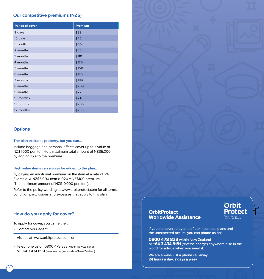# **Our competitive premiums (NZ\$)**

| <b>Period of cover</b> | Premium |
|------------------------|---------|
| 8 days                 | \$39    |
| 15 days                | \$45    |
| 1 month                | \$60    |
| 2 months               | \$86    |
| 3 months               | \$110   |
| 4 months               | \$135   |
| 5 months               | \$158   |
| 6 months               | \$170   |
| 7 months               | \$189   |
| 8 months               | \$209   |
| 9 months               | \$228   |
| 10 months              | \$246   |
| 11 months              | \$266   |
| 12 months              | \$285   |

# **Options**

#### **The plan excludes property, but you can...**

include baggage and personal effects cover up to a value of NZ\$1,000 per item (to a maximum total amount of NZ\$5,000) by adding 15% to the premium.

#### **High value items can always be added to the plan...**

by paying an additional premium on the item at a rate of 2%. Example: A NZ\$5,000 item x .020 = NZ\$100 premium. (The maximum amount of NZ\$10,000 per item).

Refer to the policy wording at www.orbitprotect.com for all terms, conditions, exclusions and excesses that apply to this plan.

### **How do you apply for cover?**

To apply for cover, you can either:

- Contact your agent
- Visit us at www.orbitprotect.com, or
- Telephone us on 0800 478 833 (within New Zealand) or +64 3 434 8151 (reverse charge outside of New Zealand)



# **OrbitProtect Worldwide Assistance**



**If you are covered by one of our insurance plans and the unexpected occurs, you can phone us on:** 

**0800 478 833 within New Zealand or +64 3 434 8151 (reverse charge) anywhere else in the world for advice when you need it.**

**We are always just a phone call away, 24 hours a day, 7 days a week.**